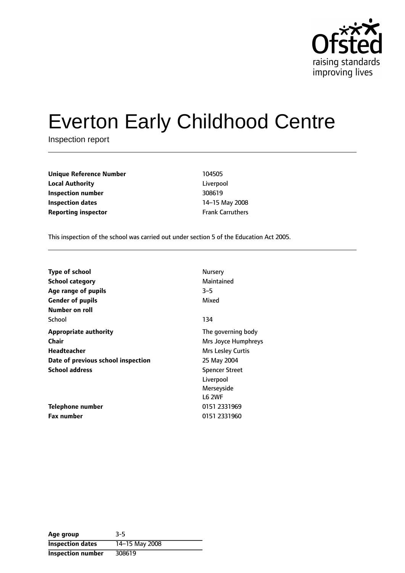

# Everton Early Childhood Centre

Inspection report

**Unique Reference Number** 104505 **Local Authority** Liverpool **Inspection number** 308619 **Inspection dates** 14-15 May 2008 **Reporting inspector** Frank Carruthers

This inspection of the school was carried out under section 5 of the Education Act 2005.

| <b>Type of school</b>              | Nursery               |
|------------------------------------|-----------------------|
| <b>School category</b>             | Maintained            |
| Age range of pupils                | $3 - 5$               |
| <b>Gender of pupils</b>            | Mixed                 |
| Number on roll                     |                       |
| School                             | 134                   |
| <b>Appropriate authority</b>       | The governing body    |
| Chair                              | Mrs Joyce Humphreys   |
| Headteacher                        | Mrs Lesley Curtis     |
| Date of previous school inspection | 25 May 2004           |
| <b>School address</b>              | <b>Spencer Street</b> |
|                                    | Liverpool             |
|                                    | Merseyside            |
|                                    | <b>L6 2WF</b>         |
| Telephone number                   | 0151 2331969          |
| <b>Fax number</b>                  | 0151 2331960          |

| Age group                | $3-5$          |
|--------------------------|----------------|
| <b>Inspection dates</b>  | 14-15 May 2008 |
| <b>Inspection number</b> | 308619         |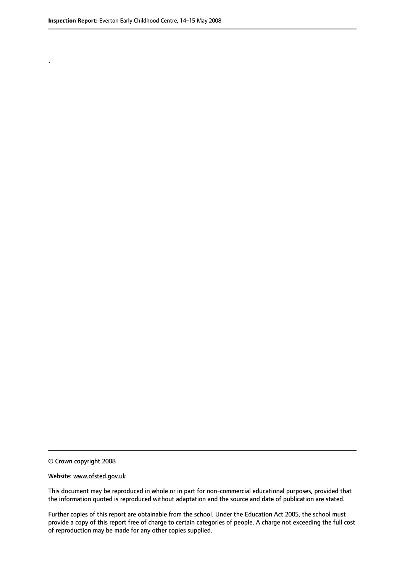.

© Crown copyright 2008

#### Website: www.ofsted.gov.uk

This document may be reproduced in whole or in part for non-commercial educational purposes, provided that the information quoted is reproduced without adaptation and the source and date of publication are stated.

Further copies of this report are obtainable from the school. Under the Education Act 2005, the school must provide a copy of this report free of charge to certain categories of people. A charge not exceeding the full cost of reproduction may be made for any other copies supplied.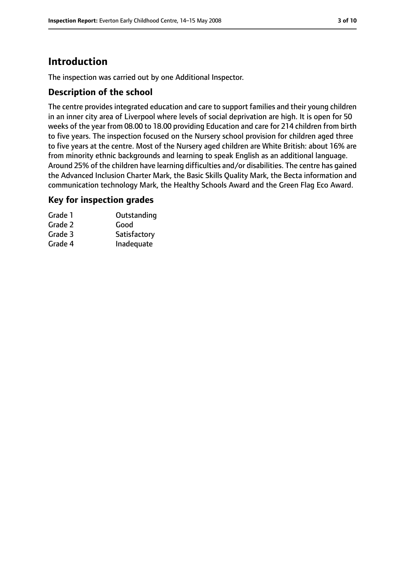# **Introduction**

The inspection was carried out by one Additional Inspector.

## **Description of the school**

The centre provides integrated education and care to support families and their young children in an inner city area of Liverpool where levels of social deprivation are high. It is open for 50 weeks of the year from 08.00 to 18.00 providing Education and care for 214 children from birth to five years. The inspection focused on the Nursery school provision for children aged three to five years at the centre. Most of the Nursery aged children are White British: about 16% are from minority ethnic backgrounds and learning to speak English as an additional language. Around 25% of the children have learning difficulties and/or disabilities. The centre has gained the Advanced Inclusion Charter Mark, the Basic Skills Quality Mark, the Becta information and communication technology Mark, the Healthy Schools Award and the Green Flag Eco Award.

## **Key for inspection grades**

| Grade 1 | Outstanding  |
|---------|--------------|
| Grade 2 | Good         |
| Grade 3 | Satisfactory |
| Grade 4 | Inadequate   |
|         |              |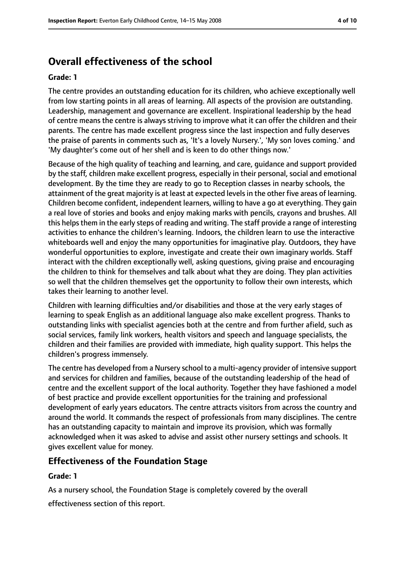# **Overall effectiveness of the school**

#### **Grade: 1**

The centre provides an outstanding education for its children, who achieve exceptionally well from low starting points in all areas of learning. All aspects of the provision are outstanding. Leadership, management and governance are excellent. Inspirational leadership by the head of centre means the centre is always striving to improve what it can offer the children and their parents. The centre has made excellent progress since the last inspection and fully deserves the praise of parents in comments such as, 'It's a lovely Nursery.', 'My son loves coming.' and 'My daughter's come out of her shell and is keen to do other things now.'

Because of the high quality of teaching and learning, and care, guidance and support provided by the staff, children make excellent progress, especially in their personal, social and emotional development. By the time they are ready to go to Reception classes in nearby schools, the attainment of the great majority is at least at expected levels in the other five areas of learning. Children become confident, independent learners, willing to have a go at everything. They gain a real love of stories and books and enjoy making marks with pencils, crayons and brushes. All this helps them in the early steps of reading and writing. The staff provide a range of interesting activities to enhance the children's learning. Indoors, the children learn to use the interactive whiteboards well and enjoy the many opportunities for imaginative play. Outdoors, they have wonderful opportunities to explore, investigate and create their own imaginary worlds. Staff interact with the children exceptionally well, asking questions, giving praise and encouraging the children to think for themselves and talk about what they are doing. They plan activities so well that the children themselves get the opportunity to follow their own interests, which takes their learning to another level.

Children with learning difficulties and/or disabilities and those at the very early stages of learning to speak English as an additional language also make excellent progress. Thanks to outstanding links with specialist agencies both at the centre and from further afield, such as social services, family link workers, health visitors and speech and language specialists, the children and their families are provided with immediate, high quality support. This helps the children's progress immensely.

The centre has developed from a Nursery school to a multi-agency provider of intensive support and services for children and families, because of the outstanding leadership of the head of centre and the excellent support of the local authority. Together they have fashioned a model of best practice and provide excellent opportunities for the training and professional development of early years educators. The centre attracts visitors from across the country and around the world. It commands the respect of professionals from many disciplines. The centre has an outstanding capacity to maintain and improve its provision, which was formally acknowledged when it was asked to advise and assist other nursery settings and schools. It gives excellent value for money.

## **Effectiveness of the Foundation Stage**

#### **Grade: 1**

As a nursery school, the Foundation Stage is completely covered by the overall

effectiveness section of this report.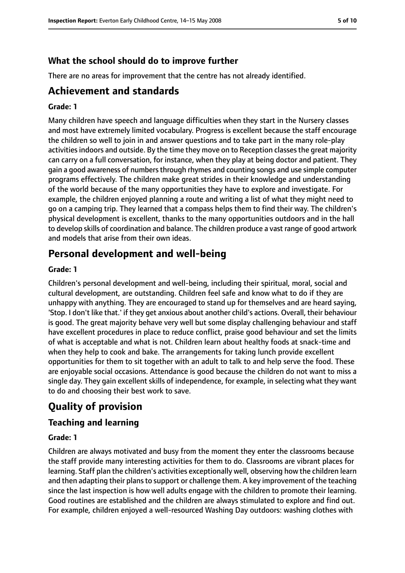## **What the school should do to improve further**

There are no areas for improvement that the centre has not already identified.

# **Achievement and standards**

#### **Grade: 1**

Many children have speech and language difficulties when they start in the Nursery classes and most have extremely limited vocabulary. Progress is excellent because the staff encourage the children so well to join in and answer questions and to take part in the many role-play activities indoors and outside. By the time they move on to Reception classes the great majority can carry on a full conversation, for instance, when they play at being doctor and patient. They gain a good awareness of numbersthrough rhymes and counting songs and use simple computer programs effectively. The children make great strides in their knowledge and understanding of the world because of the many opportunities they have to explore and investigate. For example, the children enjoyed planning a route and writing a list of what they might need to go on a camping trip. They learned that a compass helps them to find their way. The children's physical development is excellent, thanks to the many opportunities outdoors and in the hall to develop skills of coordination and balance. The children produce a vast range of good artwork and models that arise from their own ideas.

# **Personal development and well-being**

#### **Grade: 1**

Children's personal development and well-being, including their spiritual, moral, social and cultural development, are outstanding. Children feel safe and know what to do if they are unhappy with anything. They are encouraged to stand up for themselves and are heard saying, 'Stop. I don't like that.' if they get anxious about another child's actions. Overall, their behaviour is good. The great majority behave very well but some display challenging behaviour and staff have excellent procedures in place to reduce conflict, praise good behaviour and set the limits of what is acceptable and what is not. Children learn about healthy foods at snack-time and when they help to cook and bake. The arrangements for taking lunch provide excellent opportunities for them to sit together with an adult to talk to and help serve the food. These are enjoyable social occasions. Attendance is good because the children do not want to miss a single day. They gain excellent skills of independence, for example, in selecting what they want to do and choosing their best work to save.

# **Quality of provision**

## **Teaching and learning**

#### **Grade: 1**

Children are always motivated and busy from the moment they enter the classrooms because the staff provide many interesting activities for them to do. Classrooms are vibrant places for learning. Staff plan the children's activities exceptionally well, observing how the children learn and then adapting their plans to support or challenge them. A key improvement of the teaching since the last inspection is how well adults engage with the children to promote their learning. Good routines are established and the children are always stimulated to explore and find out. For example, children enjoyed a well-resourced Washing Day outdoors: washing clothes with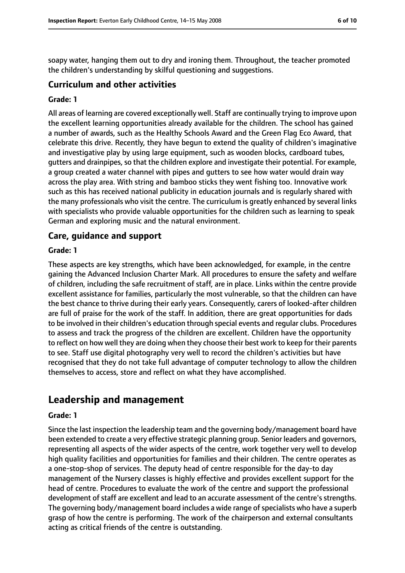soapy water, hanging them out to dry and ironing them. Throughout, the teacher promoted the children's understanding by skilful questioning and suggestions.

## **Curriculum and other activities**

#### **Grade: 1**

All areas of learning are covered exceptionally well. Staff are continually trying to improve upon the excellent learning opportunities already available for the children. The school has gained a number of awards, such as the Healthy Schools Award and the Green Flag Eco Award, that celebrate this drive. Recently, they have begun to extend the quality of children's imaginative and investigative play by using large equipment, such as wooden blocks, cardboard tubes, gutters and drainpipes, so that the children explore and investigate their potential. For example, a group created a water channel with pipes and gutters to see how water would drain way across the play area. With string and bamboo sticks they went fishing too. Innovative work such as this has received national publicity in education journals and is regularly shared with the many professionals who visit the centre. The curriculum is greatly enhanced by several links with specialists who provide valuable opportunities for the children such as learning to speak German and exploring music and the natural environment.

#### **Care, guidance and support**

#### **Grade: 1**

These aspects are key strengths, which have been acknowledged, for example, in the centre gaining the Advanced Inclusion Charter Mark. All procedures to ensure the safety and welfare of children, including the safe recruitment of staff, are in place. Links within the centre provide excellent assistance for families, particularly the most vulnerable, so that the children can have the best chance to thrive during their early years. Consequently, carers of looked-after children are full of praise for the work of the staff. In addition, there are great opportunities for dads to be involved in their children's education through special events and regular clubs. Procedures to assess and track the progress of the children are excellent. Children have the opportunity to reflect on how well they are doing when they choose their best work to keep for their parents to see. Staff use digital photography very well to record the children's activities but have recognised that they do not take full advantage of computer technology to allow the children themselves to access, store and reflect on what they have accomplished.

# **Leadership and management**

#### **Grade: 1**

Since the last inspection the leadership team and the governing body/management board have been extended to create a very effective strategic planning group. Senior leaders and governors, representing all aspects of the wider aspects of the centre, work together very well to develop high quality facilities and opportunities for families and their children. The centre operates as a one-stop-shop of services. The deputy head of centre responsible for the day-to day management of the Nursery classes is highly effective and provides excellent support for the head of centre. Procedures to evaluate the work of the centre and support the professional development of staff are excellent and lead to an accurate assessment of the centre's strengths. The governing body/management board includes a wide range of specialists who have a superb grasp of how the centre is performing. The work of the chairperson and external consultants acting as critical friends of the centre is outstanding.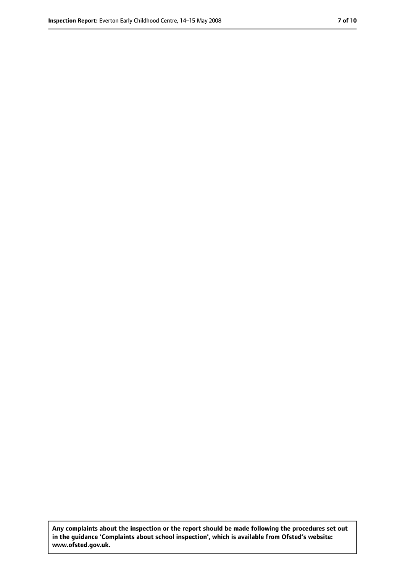**Any complaints about the inspection or the report should be made following the procedures set out in the guidance 'Complaints about school inspection', which is available from Ofsted's website: www.ofsted.gov.uk.**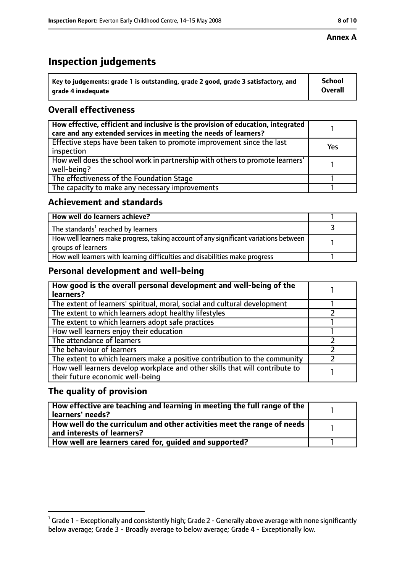# **Inspection judgements**

| $^{\backprime}$ Key to judgements: grade 1 is outstanding, grade 2 good, grade 3 satisfactory, and | <b>School</b>  |
|----------------------------------------------------------------------------------------------------|----------------|
| arade 4 inadequate                                                                                 | <b>Overall</b> |

# **Overall effectiveness**

| How effective, efficient and inclusive is the provision of education, integrated<br>care and any extended services in meeting the needs of learners? |     |
|------------------------------------------------------------------------------------------------------------------------------------------------------|-----|
| Effective steps have been taken to promote improvement since the last<br>inspection                                                                  | Yes |
| How well does the school work in partnership with others to promote learners'<br>well-being?                                                         |     |
| The effectiveness of the Foundation Stage                                                                                                            |     |
| The capacity to make any necessary improvements                                                                                                      |     |

## **Achievement and standards**

| How well do learners achieve?                                                                               |  |
|-------------------------------------------------------------------------------------------------------------|--|
| The standards <sup>1</sup> reached by learners                                                              |  |
| How well learners make progress, taking account of any significant variations between<br>groups of learners |  |
| How well learners with learning difficulties and disabilities make progress                                 |  |

## **Personal development and well-being**

| How good is the overall personal development and well-being of the<br>learners?                                  |  |
|------------------------------------------------------------------------------------------------------------------|--|
| The extent of learners' spiritual, moral, social and cultural development                                        |  |
| The extent to which learners adopt healthy lifestyles                                                            |  |
| The extent to which learners adopt safe practices                                                                |  |
| How well learners enjoy their education                                                                          |  |
| The attendance of learners                                                                                       |  |
| The behaviour of learners                                                                                        |  |
| The extent to which learners make a positive contribution to the community                                       |  |
| How well learners develop workplace and other skills that will contribute to<br>their future economic well-being |  |

## **The quality of provision**

| How effective are teaching and learning in meeting the full range of the<br>learners' needs?          |  |
|-------------------------------------------------------------------------------------------------------|--|
| How well do the curriculum and other activities meet the range of needs<br>and interests of learners? |  |
| How well are learners cared for, quided and supported?                                                |  |

 $^1$  Grade 1 - Exceptionally and consistently high; Grade 2 - Generally above average with none significantly below average; Grade 3 - Broadly average to below average; Grade 4 - Exceptionally low.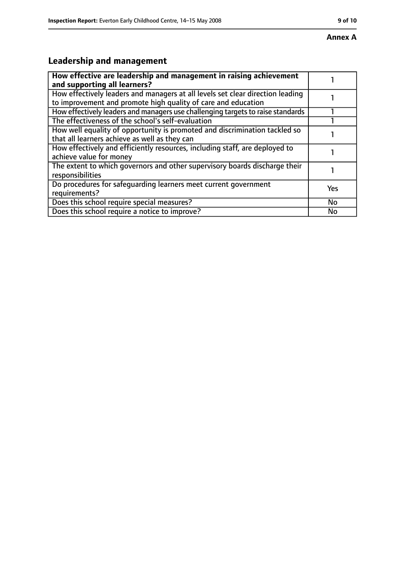# **Leadership and management**

| How effective are leadership and management in raising achievement<br>and supporting all learners?                                              |     |
|-------------------------------------------------------------------------------------------------------------------------------------------------|-----|
| How effectively leaders and managers at all levels set clear direction leading<br>to improvement and promote high quality of care and education |     |
| How effectively leaders and managers use challenging targets to raise standards                                                                 |     |
| The effectiveness of the school's self-evaluation                                                                                               |     |
| How well equality of opportunity is promoted and discrimination tackled so<br>that all learners achieve as well as they can                     |     |
| How effectively and efficiently resources, including staff, are deployed to<br>achieve value for money                                          |     |
| The extent to which governors and other supervisory boards discharge their<br>responsibilities                                                  |     |
| Do procedures for safeguarding learners meet current government<br>requirements?                                                                | Yes |
| Does this school require special measures?                                                                                                      | No  |
| Does this school require a notice to improve?                                                                                                   | No  |